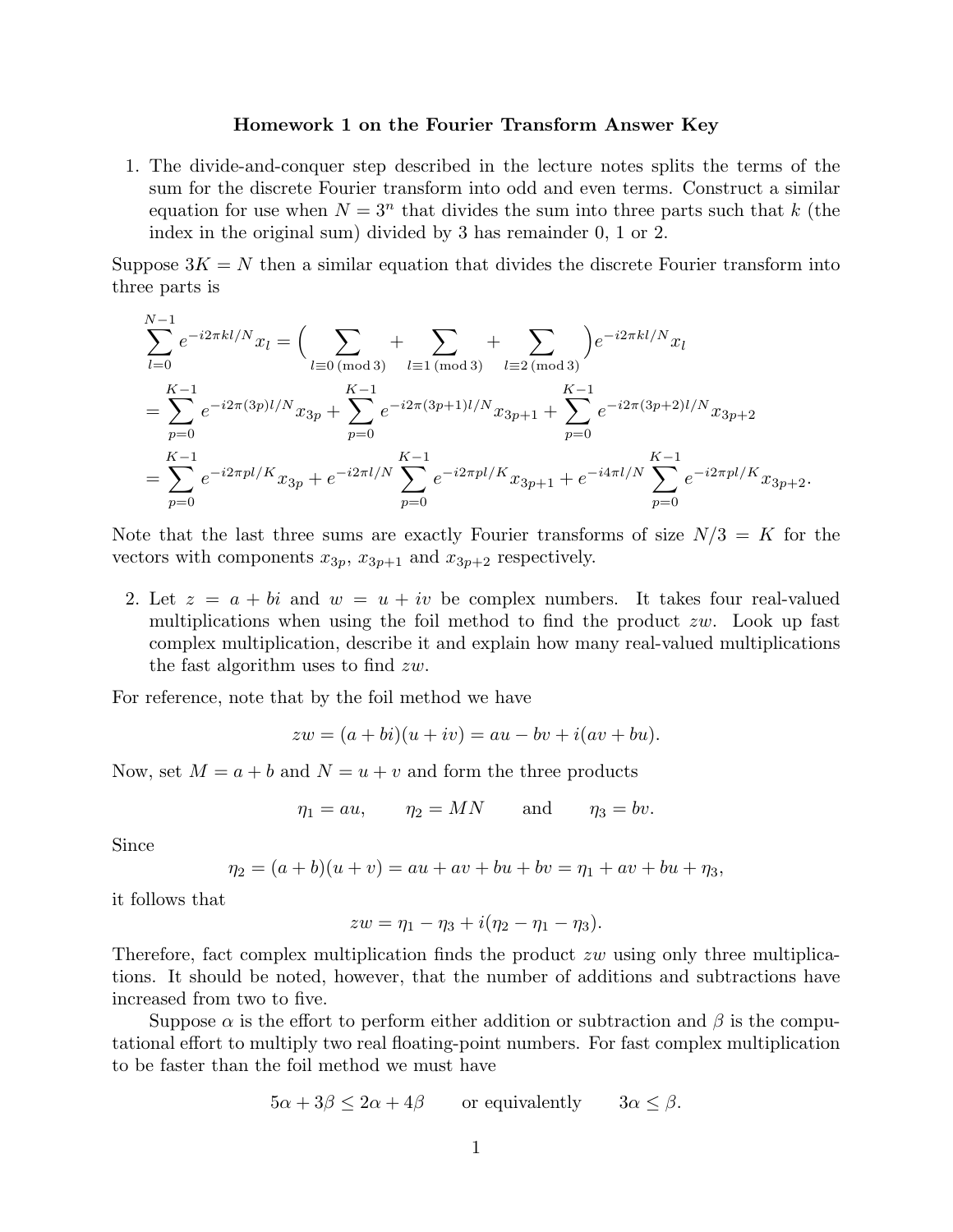## **Homework 1 on the Fourier Transform Answer Key**

1. The divide-and-conquer step described in the lecture notes splits the terms of the sum for the discrete Fourier transform into odd and even terms. Construct a similar equation for use when  $N = 3^n$  that divides the sum into three parts such that *k* (the index in the original sum) divided by 3 has remainder 0, 1 or 2.

Suppose  $3K = N$  then a similar equation that divides the discrete Fourier transform into three parts is

$$
\sum_{l=0}^{N-1} e^{-i2\pi kl/N} x_l = \left( \sum_{l=0 \text{ (mod 3)}} + \sum_{l=1 \text{ (mod 3)}} + \sum_{l=2 \text{ (mod 3)}} \right) e^{-i2\pi kl/N} x_l
$$
  
= 
$$
\sum_{p=0}^{K-1} e^{-i2\pi (3p)l/N} x_{3p} + \sum_{p=0}^{K-1} e^{-i2\pi (3p+1)l/N} x_{3p+1} + \sum_{p=0}^{K-1} e^{-i2\pi (3p+2)l/N} x_{3p+2}
$$
  
= 
$$
\sum_{p=0}^{K-1} e^{-i2\pi pl/K} x_{3p} + e^{-i2\pi l/N} \sum_{p=0}^{K-1} e^{-i2\pi pl/K} x_{3p+1} + e^{-i4\pi l/N} \sum_{p=0}^{K-1} e^{-i2\pi pl/K} x_{3p+2}.
$$

Note that the last three sums are exactly Fourier transforms of size  $N/3 = K$  for the vectors with components  $x_{3p}$ ,  $x_{3p+1}$  and  $x_{3p+2}$  respectively.

2. Let  $z = a + bi$  and  $w = u + iv$  be complex numbers. It takes four real-valued multiplications when using the foil method to find the product *zw*. Look up fast complex multiplication, describe it and explain how many real-valued multiplications the fast algorithm uses to find *zw*.

For reference, note that by the foil method we have

$$
zw = (a + bi)(u + iv) = au - bv + i(av + bu).
$$

Now, set  $M = a + b$  and  $N = u + v$  and form the three products

$$
\eta_1 = au, \qquad \eta_2 = MN \qquad \text{and} \qquad \eta_3 = bv.
$$

Since

$$
\eta_2 = (a+b)(u+v) = au + av + bu + bv = \eta_1 + av + bu + \eta_3,
$$

it follows that

$$
zw = \eta_1 - \eta_3 + i(\eta_2 - \eta_1 - \eta_3).
$$

Therefore, fact complex multiplication finds the product *zw* using only three multiplications. It should be noted, however, that the number of additions and subtractions have increased from two to five.

Suppose  $\alpha$  is the effort to perform either addition or subtraction and  $\beta$  is the computational effort to multiply two real floating-point numbers. For fast complex multiplication to be faster than the foil method we must have

$$
5\alpha + 3\beta \le 2\alpha + 4\beta
$$
 or equivalently  $3\alpha \le \beta$ .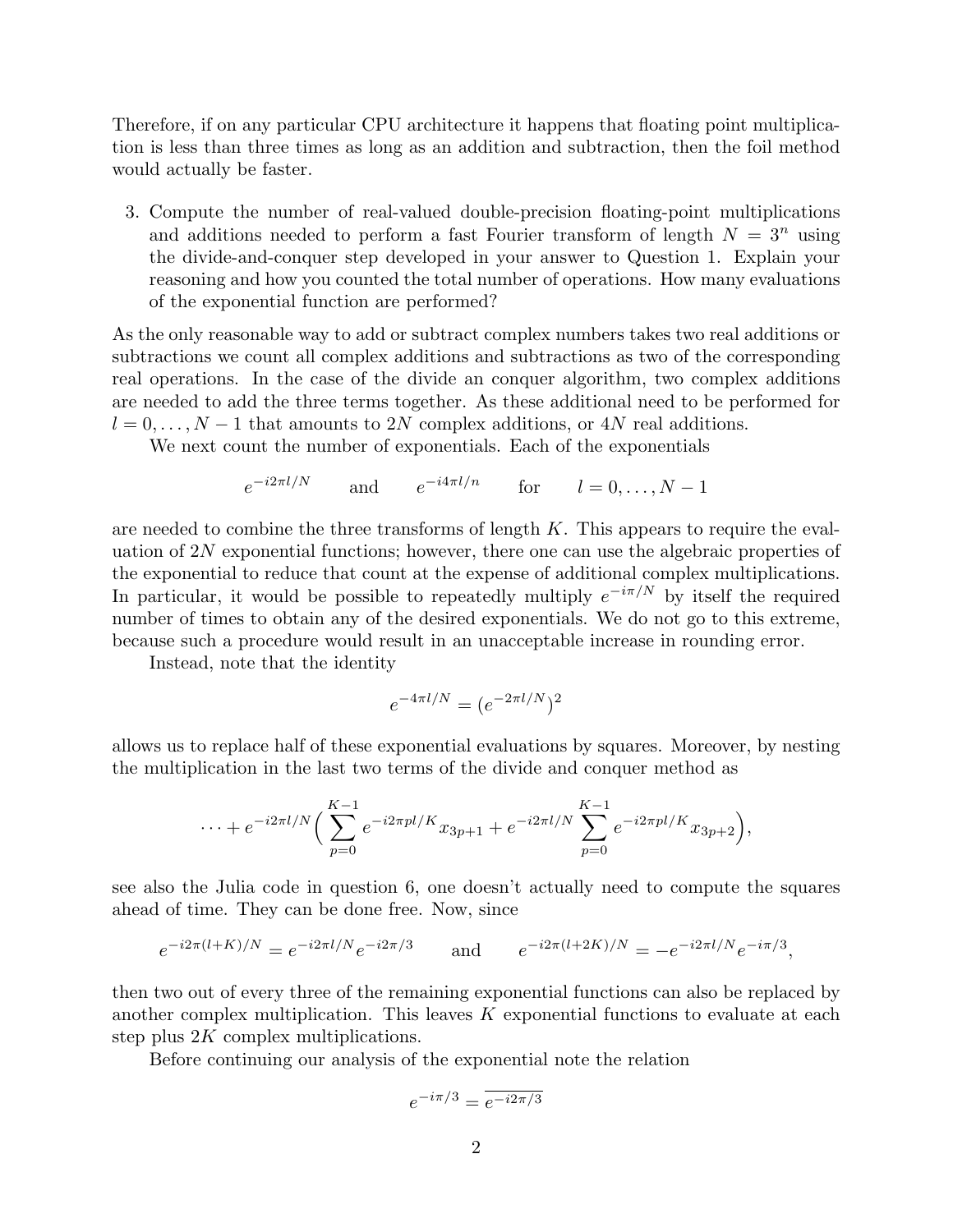Therefore, if on any particular CPU architecture it happens that floating point multiplication is less than three times as long as an addition and subtraction, then the foil method would actually be faster.

3. Compute the number of real-valued double-precision floating-point multiplications and additions needed to perform a fast Fourier transform of length  $N = 3^n$  using the divide-and-conquer step developed in your answer to Question 1. Explain your reasoning and how you counted the total number of operations. How many evaluations of the exponential function are performed?

As the only reasonable way to add or subtract complex numbers takes two real additions or subtractions we count all complex additions and subtractions as two of the corresponding real operations. In the case of the divide an conquer algorithm, two complex additions are needed to add the three terms together. As these additional need to be performed for  $l = 0, \ldots, N - 1$  that amounts to 2*N* complex additions, or 4*N* real additions.

We next count the number of exponentials. Each of the exponentials

$$
e^{-i2\pi l/N}
$$
 and  $e^{-i4\pi l/n}$  for  $l = 0, ..., N - 1$ 

are needed to combine the three transforms of length *K*. This appears to require the evaluation of 2*N* exponential functions; however, there one can use the algebraic properties of the exponential to reduce that count at the expense of additional complex multiplications. In particular, it would be possible to repeatedly multiply  $e^{-i\pi/N}$  by itself the required number of times to obtain any of the desired exponentials. We do not go to this extreme, because such a procedure would result in an unacceptable increase in rounding error.

Instead, note that the identity

$$
e^{-4\pi l/N} = (e^{-2\pi l/N})^2
$$

allows us to replace half of these exponential evaluations by squares. Moreover, by nesting the multiplication in the last two terms of the divide and conquer method as

$$
\cdots + e^{-i2\pi l/N} \Big( \sum_{p=0}^{K-1} e^{-i2\pi pl/K} x_{3p+1} + e^{-i2\pi l/N} \sum_{p=0}^{K-1} e^{-i2\pi pl/K} x_{3p+2} \Big),
$$

see also the Julia code in question 6, one doesn't actually need to compute the squares ahead of time. They can be done free. Now, since

$$
e^{-i2\pi(l+K)/N} = e^{-i2\pi l/N} e^{-i2\pi/3}
$$
 and  $e^{-i2\pi(l+2K)/N} = -e^{-i2\pi l/N} e^{-i\pi/3}$ ,

then two out of every three of the remaining exponential functions can also be replaced by another complex multiplication. This leaves *K* exponential functions to evaluate at each step plus 2*K* complex multiplications.

Before continuing our analysis of the exponential note the relation

$$
e^{-i\pi/3} = \overline{e^{-i2\pi/3}}
$$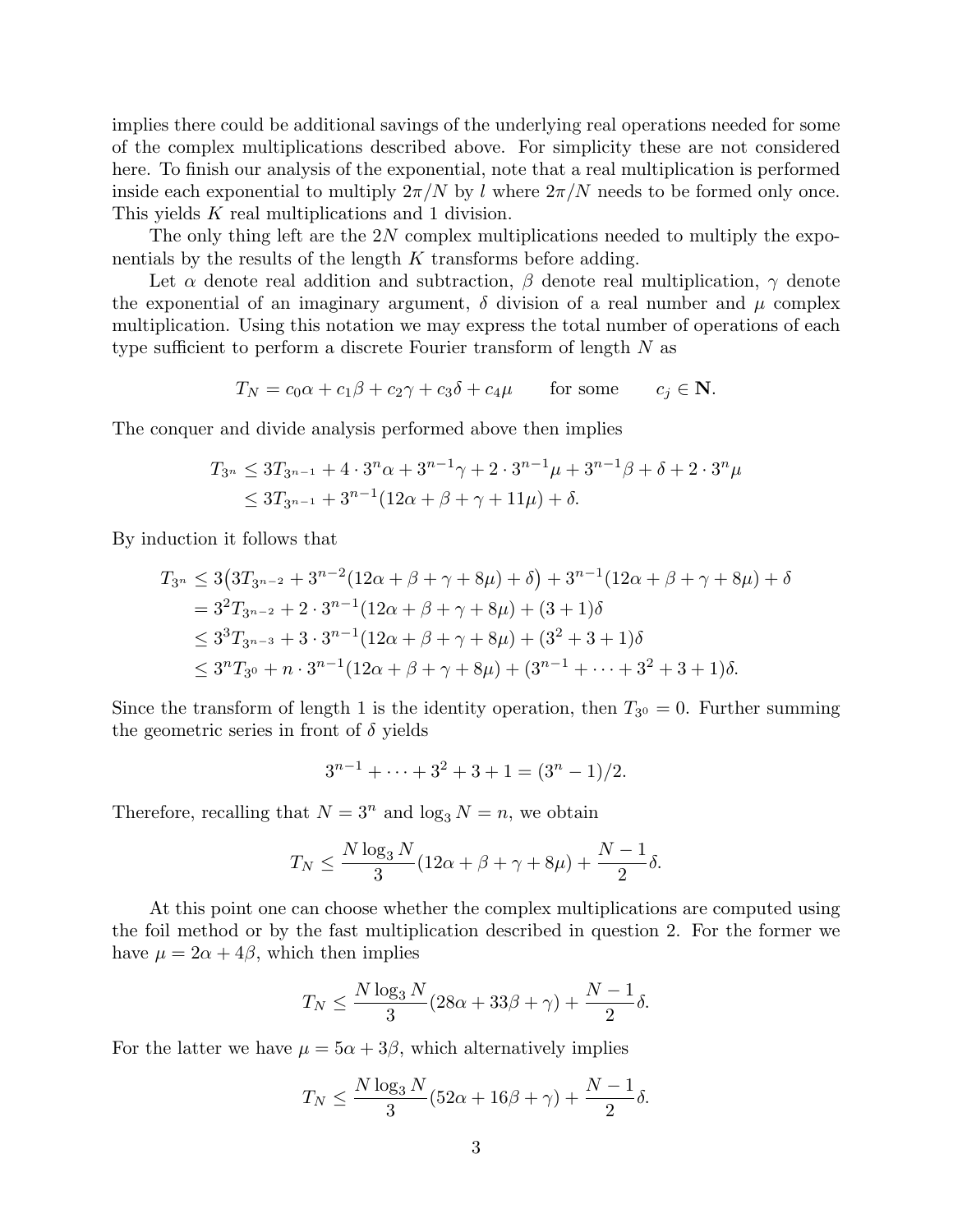implies there could be additional savings of the underlying real operations needed for some of the complex multiplications described above. For simplicity these are not considered here. To finish our analysis of the exponential, note that a real multiplication is performed inside each exponential to multiply  $2\pi/N$  by *l* where  $2\pi/N$  needs to be formed only once. This yields *K* real multiplications and 1 division.

The only thing left are the 2*N* complex multiplications needed to multiply the exponentials by the results of the length *K* transforms before adding.

Let  $\alpha$  denote real addition and subtraction,  $\beta$  denote real multiplication,  $\gamma$  denote the exponential of an imaginary argument,  $\delta$  division of a real number and  $\mu$  complex multiplication. Using this notation we may express the total number of operations of each type sufficient to perform a discrete Fourier transform of length *N* as

$$
T_N = c_0 \alpha + c_1 \beta + c_2 \gamma + c_3 \delta + c_4 \mu \quad \text{for some} \quad c_j \in \mathbf{N}.
$$

The conquer and divide analysis performed above then implies

$$
T_{3^n} \le 3T_{3^{n-1}} + 4 \cdot 3^n \alpha + 3^{n-1} \gamma + 2 \cdot 3^{n-1} \mu + 3^{n-1} \beta + \delta + 2 \cdot 3^n \mu
$$
  

$$
\le 3T_{3^{n-1}} + 3^{n-1} (12\alpha + \beta + \gamma + 11\mu) + \delta.
$$

By induction it follows that

$$
T_{3^n} \le 3\left(3T_{3^{n-2}} + 3^{n-2}(12\alpha + \beta + \gamma + 8\mu) + \delta\right) + 3^{n-1}(12\alpha + \beta + \gamma + 8\mu) + \delta
$$
  
=  $3^2T_{3^{n-2}} + 2 \cdot 3^{n-1}(12\alpha + \beta + \gamma + 8\mu) + (3 + 1)\delta$   
 $\le 3^3T_{3^{n-3}} + 3 \cdot 3^{n-1}(12\alpha + \beta + \gamma + 8\mu) + (3^2 + 3 + 1)\delta$   
 $\le 3^nT_{3^0} + n \cdot 3^{n-1}(12\alpha + \beta + \gamma + 8\mu) + (3^{n-1} + \dots + 3^2 + 3 + 1)\delta.$ 

Since the transform of length 1 is the identity operation, then  $T_{30} = 0$ . Further summing the geometric series in front of *δ* yields

$$
3^{n-1} + \dots + 3^2 + 3 + 1 = (3^n - 1)/2.
$$

Therefore, recalling that  $N = 3^n$  and  $\log_3 N = n$ , we obtain

$$
T_N \le \frac{N \log_3 N}{3} (12\alpha + \beta + \gamma + 8\mu) + \frac{N-1}{2} \delta.
$$

At this point one can choose whether the complex multiplications are computed using the foil method or by the fast multiplication described in question 2. For the former we have  $\mu = 2\alpha + 4\beta$ , which then implies

$$
T_N \le \frac{N \log_3 N}{3} (28\alpha + 33\beta + \gamma) + \frac{N-1}{2} \delta.
$$

For the latter we have  $\mu = 5\alpha + 3\beta$ , which alternatively implies

$$
T_N \le \frac{N \log_3 N}{3} (52\alpha + 16\beta + \gamma) + \frac{N-1}{2} \delta.
$$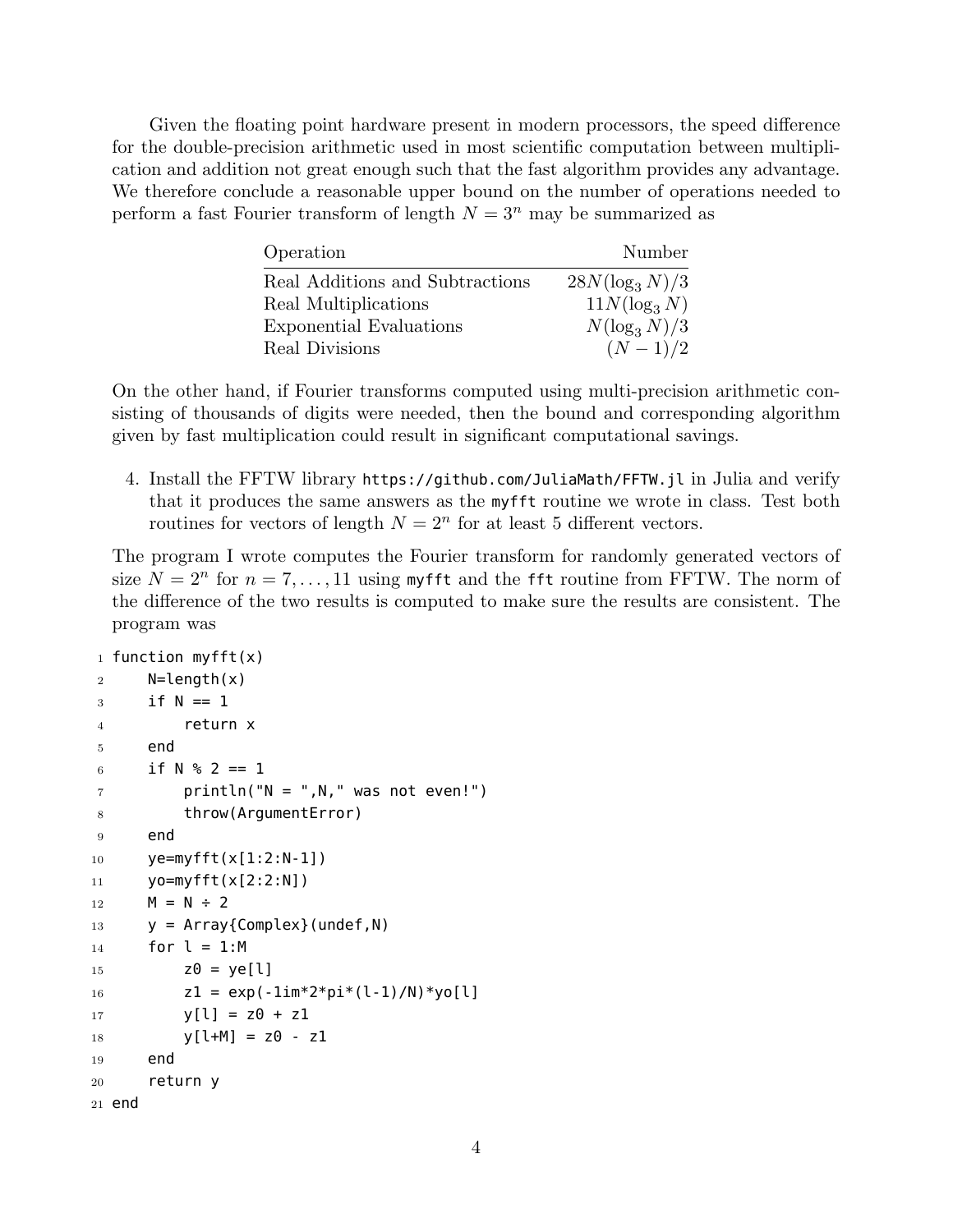Given the floating point hardware present in modern processors, the speed difference for the double-precision arithmetic used in most scientific computation between multiplication and addition not great enough such that the fast algorithm provides any advantage. We therefore conclude a reasonable upper bound on the number of operations needed to perform a fast Fourier transform of length  $N = 3^n$  may be summarized as

| Operation                       | Number            |
|---------------------------------|-------------------|
| Real Additions and Subtractions | $28N(\log_3 N)/3$ |
| Real Multiplications            | $11N(\log_3 N)$   |
| Exponential Evaluations         | $N(\log_3 N)/3$   |
| Real Divisions                  | $(N-1)/2$         |

On the other hand, if Fourier transforms computed using multi-precision arithmetic consisting of thousands of digits were needed, then the bound and corresponding algorithm given by fast multiplication could result in significant computational savings.

4. Install the FFTW library https://github.com/JuliaMath/FFTW.jl in Julia and verify that it produces the same answers as the myfft routine we wrote in class. Test both routines for vectors of length  $N = 2^n$  for at least 5 different vectors.

The program I wrote computes the Fourier transform for randomly generated vectors of size  $N = 2^n$  for  $n = 7, \ldots, 11$  using my fft and the fft routine from FFTW. The norm of the difference of the two results is computed to make sure the results are consistent. The program was

```
1 function myfft(x)
2 N=length(x)
3 if N == 14 return x
5 end
6 if N \, % 2 == 1
7 println("N = "N, " was not even!")
8 throw(ArgumentError)
9 end
10 ye=myfft(x[1:2:N-1])
11 yo=myfft(x[2:2:N])
12 M = N \div 213 y = \text{Array}\{\text{Complex}\} (undef, N)
14 for l = 1:M15 Z\theta = ye[l]16 z1 = exp(-1im*2*pi*(1-1)/N)*yo[1]17 y[1] = z0 + z118 y[1+M] = z0 - z119 end
20 return y
21 end
```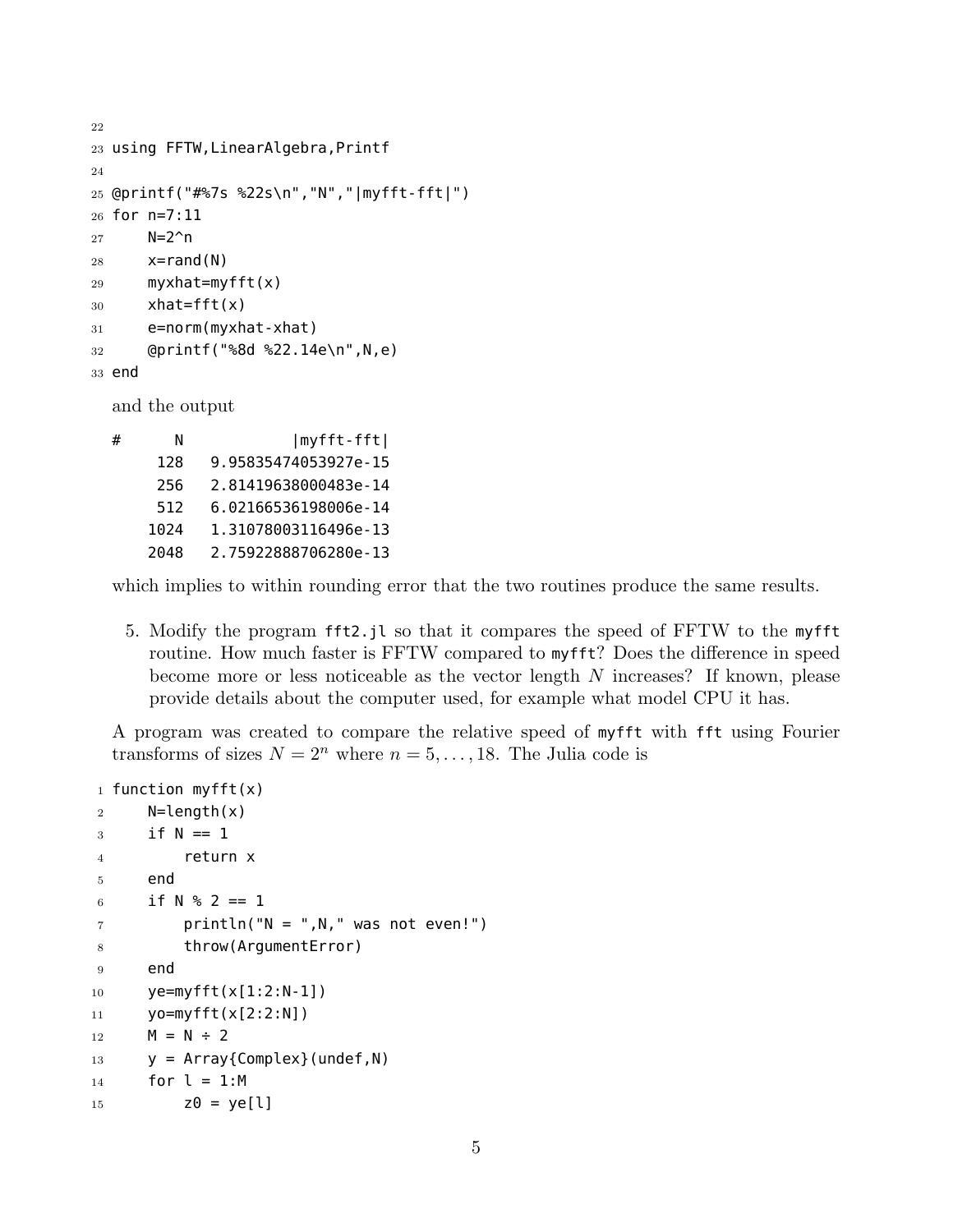```
22
23 using FFTW,LinearAlgebra,Printf
24
25 @printf("#%7s %22s\n","N","|myfft-fft|")
26 for n=7:11
27 N=2^n
28 x=rand(N)29 myxhat=myfft(x)
30 xhat=fft(x)
31 e=norm(myxhat-xhat)
32 @printf("%8d %22.14e\n",N,e)
33 end
  and the output
```

| # |      | myfft-fft            |
|---|------|----------------------|
|   | 128  | 9.95835474053927e-15 |
|   | 256  | 2.81419638000483e-14 |
|   | 512  | 6.02166536198006e-14 |
|   | 1024 | 1.31078003116496e-13 |
|   | 2048 | 2.75922888706280e-13 |
|   |      |                      |

which implies to within rounding error that the two routines produce the same results.

5. Modify the program fft2.jl so that it compares the speed of FFTW to the myfft routine. How much faster is FFTW compared to myfft? Does the difference in speed become more or less noticeable as the vector length *N* increases? If known, please provide details about the computer used, for example what model CPU it has.

A program was created to compare the relative speed of myfft with fft using Fourier transforms of sizes  $N = 2^n$  where  $n = 5, \ldots, 18$ . The Julia code is

```
1 function myfft(x)
2 N=length(x)
3 \quad \text{if } N == 14 return x
5 end
6 if N \, % 2 == 1
7 println("N = ",N," was not even!")
8 throw(ArgumentError)
9 end
10 ye=myfft(x[1:2:N-1])
11 yo=myfft(x[2:2:N])
12 M = N \div 213 \qquad y = Array{Complex}({under, N})14 for l = 1:M15 Z\theta = ye[l]
```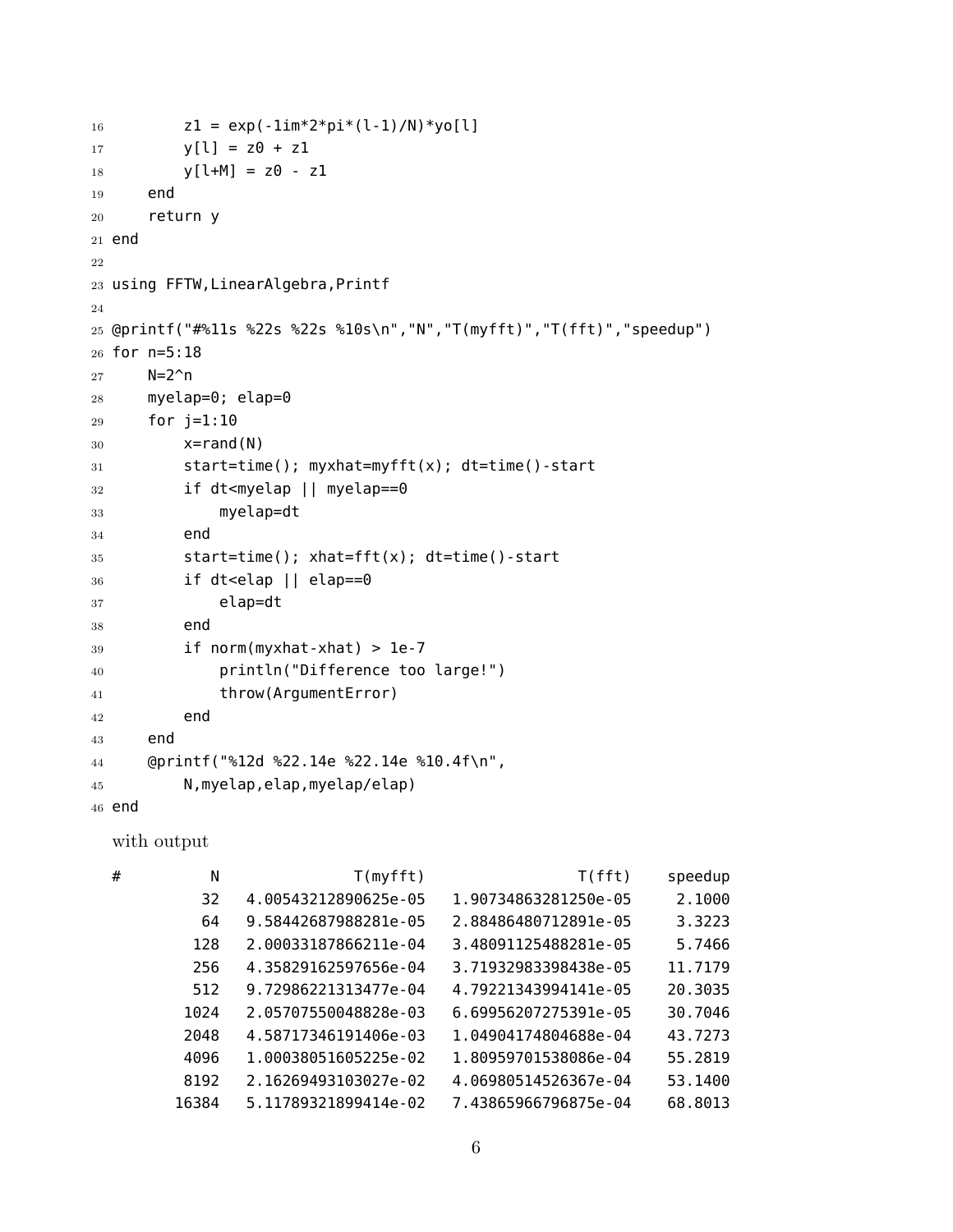```
16 z1 = exp(-1im*2*pi*(1-1)/N)*yo[1]17 V[1] = Z\theta + Z118 y[1+M] = z0 - z119 end
20 return y
21 end
22
23 using FFTW,LinearAlgebra,Printf
24
25 @printf("#%11s %22s %22s %10s\n","N","T(myfft)","T(fft)","speedup")
26 for n=5:18
27 N=2^{\wedge}n
28 myelap=0; elap=0
29 for j=1:10
30 \times = \text{rand}(N)31 start=time(); myxhat=myfft(x); dt=time()-start
32 if dt<myelap || myelap==0
33 myelap=dt
34 end
35 start=time(); xhat=fft(x); dt=time()-start
36 if dt<elap || elap==0
37 elap=dt
38 end
39 \qquad \qquad if norm(myxhat-xhat) > 1e-7
40 println("Difference too large!")
41 throw(ArgumentError)
42 end
43 end
44 @printf("%12d %22.14e %22.14e %10.4f\n",
45 N,myelap,elap,myelap/elap)
46 end
  with output
  # N T(myfft) T(fft) speedup
          32 4.00543212890625e-05 1.90734863281250e-05 2.1000
          64 9.58442687988281e-05 2.88486480712891e-05 3.3223
         128 2.00033187866211e-04 3.48091125488281e-05 5.7466
         256 4.35829162597656e-04 3.71932983398438e-05 11.7179
         512 9.72986221313477e-04 4.79221343994141e-05 20.3035
         1024 2.05707550048828e-03 6.69956207275391e-05 30.7046
         2048 4.58717346191406e-03 1.04904174804688e-04 43.7273
        4096 1.00038051605225e-02 1.80959701538086e-04 55.2819
        8192 2.16269493103027e-02 4.06980514526367e-04 53.1400
        16384 5.11789321899414e-02 7.43865966796875e-04 68.8013
```

```
6
```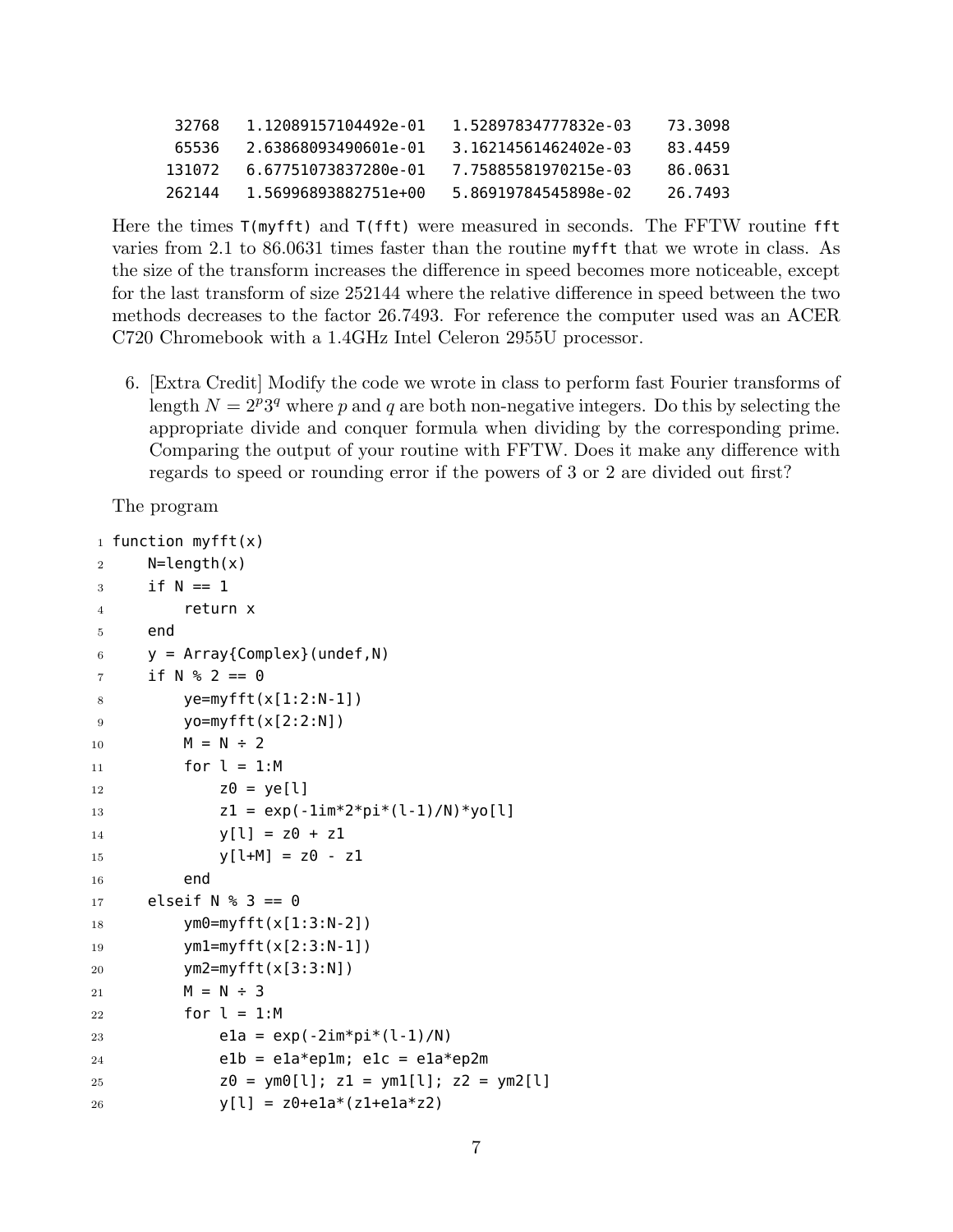| 32768  | 1.12089157104492e-01 | 1 52897834777832e-03 | 73.3098 |
|--------|----------------------|----------------------|---------|
| 65536  | 2.63868093490601e-01 | 3.16214561462402e-03 | 83.4459 |
| 131072 | 6.67751073837280e-01 | 7.75885581970215e-03 | 86.0631 |
| 262144 | 1.56996893882751e+00 | 5.86919784545898e-02 | 26.7493 |

Here the times T(myfft) and T(fft) were measured in seconds. The FFTW routine fft varies from 2.1 to 86.0631 times faster than the routine myfft that we wrote in class. As the size of the transform increases the difference in speed becomes more noticeable, except for the last transform of size 252144 where the relative difference in speed between the two methods decreases to the factor 26.7493. For reference the computer used was an ACER C720 Chromebook with a 1.4GHz Intel Celeron 2955U processor.

6. [Extra Credit] Modify the code we wrote in class to perform fast Fourier transforms of length  $N = 2<sup>p</sup>3<sup>q</sup>$  where *p* and *q* are both non-negative integers. Do this by selecting the appropriate divide and conquer formula when dividing by the corresponding prime. Comparing the output of your routine with FFTW. Does it make any difference with regards to speed or rounding error if the powers of 3 or 2 are divided out first?

The program

```
1 function myfft(x)2 N=length(x)
3 if N == 14 return x
5 end
6 y = Array{Complex} (under, N)7 if N % 2 == 08 ye=myfft(x[1:2:N-1])9 yo=myfft(x[2:2:N])10 M = N \div 211 for l = 1:M12 Z\theta = \gamma e[1]13 Z1 = exp(-1im*2*pi*(l-1)/N)*yo[l]14 y[l] = z0 + z115 y[1+M] = z0 - z116 end
17 elseif N <sup>8</sup> 3 == 018 ym0=myfft(x[1:3:N-2])
19 ym1=myfft(x[2:3:N-1])
20 ym2=myfft(x[3:3:N])
21 M = N \div 322 for l = 1:M23 ela = exp(-2im*pi*(l-1)/N)
24 elb = ela*eplm; elc = ela*ep2m
25 Z\Theta = ym\Theta[1]; Z1 = ym1[1]; Z2 = ym2[1]26 y[l] = z0 + e1a*(z1 + e1a*z2)
```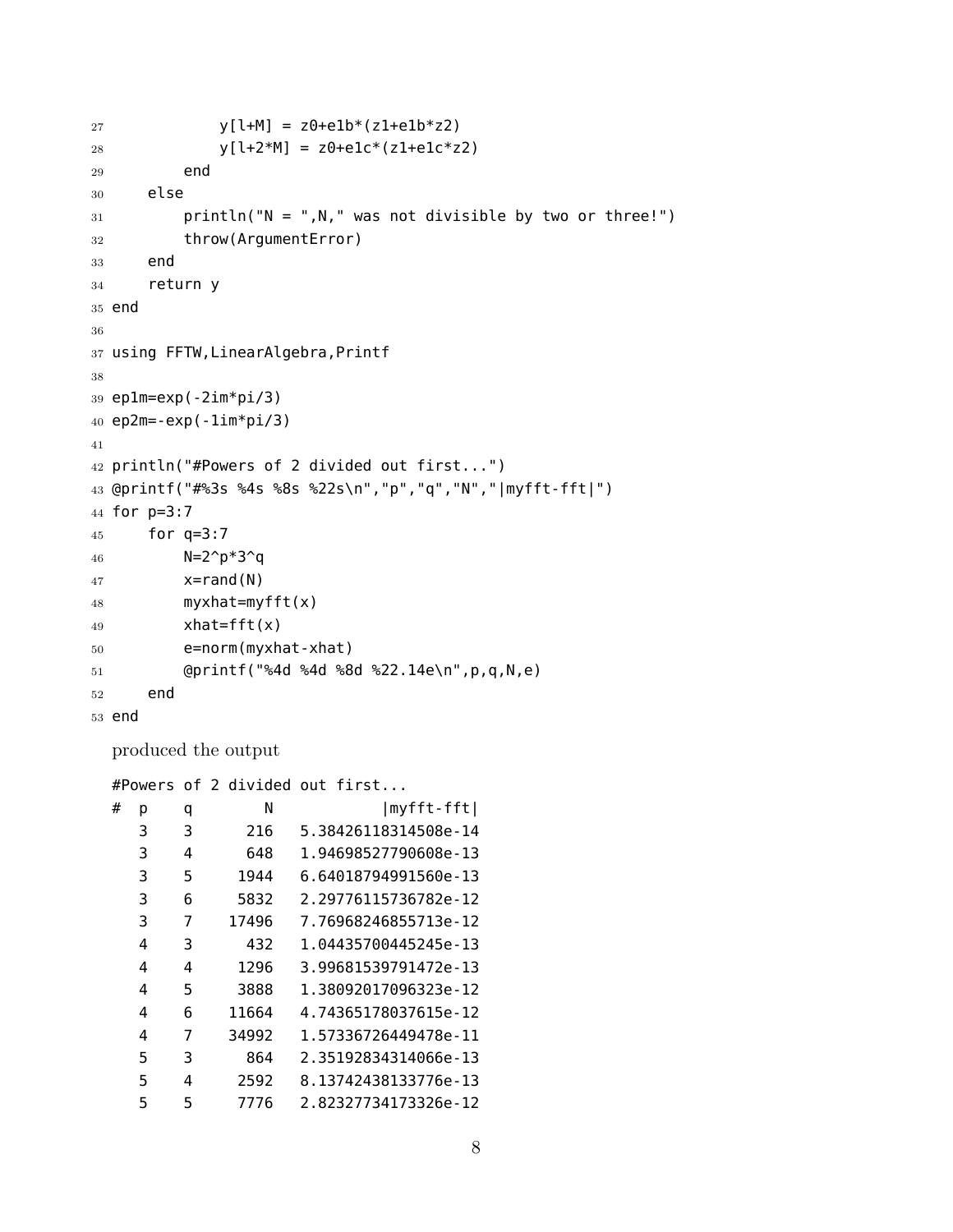```
27 y[l+M] = z0 + e1b*(z1 + e1b*z2)28 y[l+2*M] = z0+elc*(z1+elc*z2)29 end
30 else
31 println("N = ",N," was not divisible by two or three!")
32 throw(ArgumentError)
33 end
34 return y
35 end
36
37 using FFTW,LinearAlgebra,Printf
38
39 ep1m=exp(-2im*pi/3)
40 ep2m=-exp(-1im*pi/3)
41
42 println("#Powers of 2 divided out first...")
43 @printf("#%3s %4s %8s %22s\n","p","q","N","|myfft-fft|")
44 for p=3:7
45 for q=3:7
46 N=2^p*3^q
47 x=rand(N)48 myxhat=myfft(x)
49 xhat=fft(x)
50 e=norm(myxhat-xhat)
51 @printf("%4d %4d %8d %22.14e\n",p,q,N,e)
52 end
53 end
```
produced the output

#Powers of 2 divided out first...

| р | q | N     | myfft-fft            |
|---|---|-------|----------------------|
| 3 | 3 | 216   | 5.38426118314508e-14 |
| 3 | 4 | 648   | 1.94698527790608e-13 |
| 3 | 5 | 1944  | 6.64018794991560e-13 |
| 3 | 6 | 5832  | 2.29776115736782e-12 |
| 3 | 7 | 17496 | 7.76968246855713e-12 |
| 4 | 3 | 432   | 1.04435700445245e-13 |
| 4 | 4 | 1296  | 3.99681539791472e-13 |
| 4 | 5 | 3888  | 1.38092017096323e-12 |
| 4 | 6 | 11664 | 4.74365178037615e-12 |
| 4 | 7 | 34992 | 1.57336726449478e-11 |
| 5 | 3 | 864   | 2.35192834314066e-13 |
| 5 | 4 | 2592  | 8.13742438133776e-13 |
| 5 | 5 | 7776  | 2.82327734173326e-12 |
|   |   |       |                      |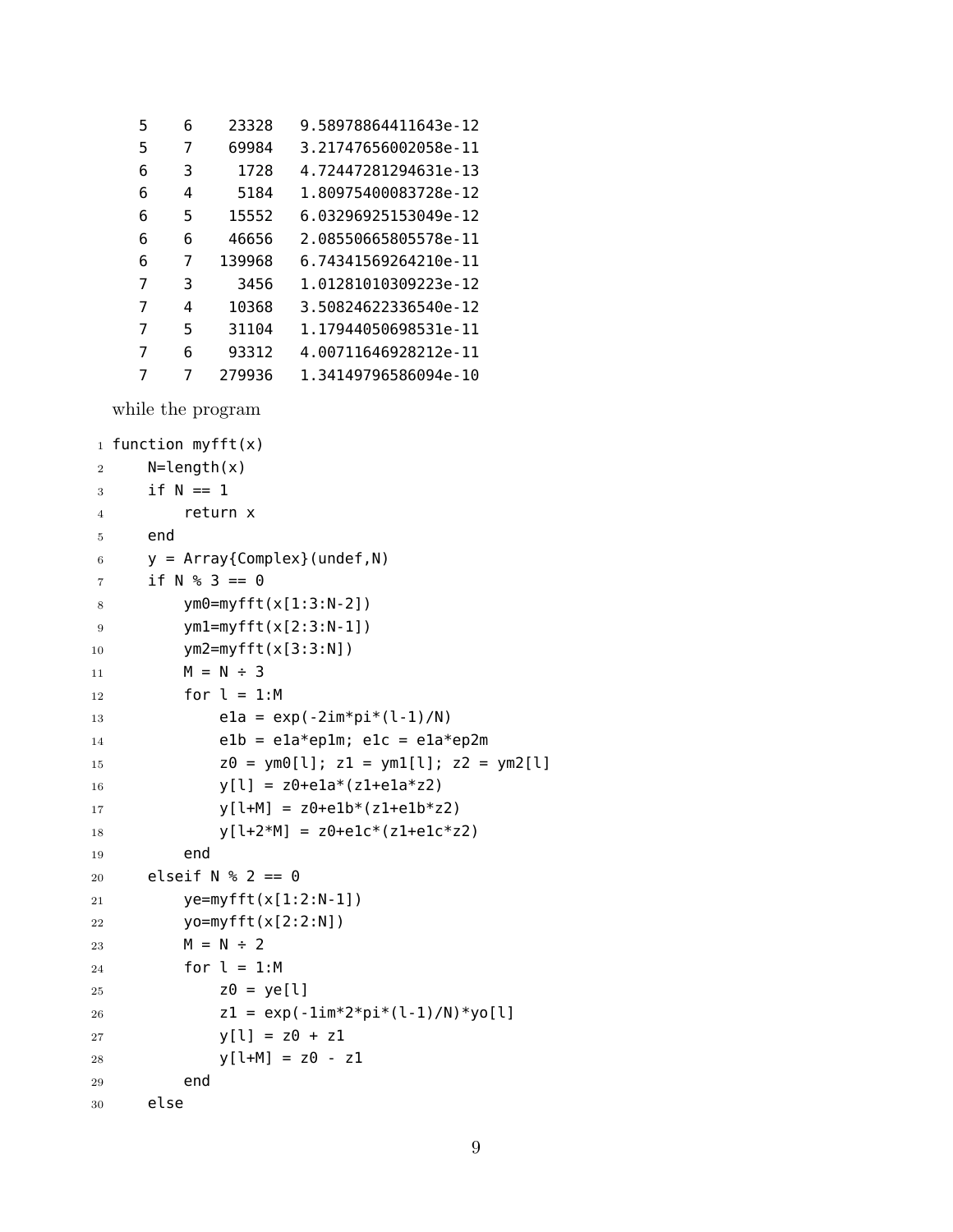| 5 | 6 | 23328  | 9.58978864411643e-12 |
|---|---|--------|----------------------|
| 5 | 7 | 69984  | 3.21747656002058e-11 |
| 6 | 3 | 1728   | 4.72447281294631e-13 |
| 6 | 4 | 5184   | 1.80975400083728e-12 |
| 6 | 5 | 15552  | 6.03296925153049e-12 |
| 6 | 6 | 46656  | 2.08550665805578e-11 |
| 6 | 7 | 139968 | 6.74341569264210e-11 |
| 7 | 3 | 3456   | 1.01281010309223e-12 |
| 7 | 4 | 10368  | 3.50824622336540e-12 |
| 7 | 5 | 31104  | 1.17944050698531e-11 |
| 7 | 6 | 93312  | 4.00711646928212e-11 |
| 7 | 7 | 279936 | 1.34149796586094e-10 |

while the program

```
1 function myfft(x)2 N=length(x)
3 if N == 14 return x
5 end
6 y = Array{Complex}(under, N)7 if N % 3 == 08 ym0=myfft(x[1:3:N-2])
9 ym1=myfft(x[2:3:N-1])
10 ym2=myfft(x[3:3:N])
11 M = N \div 312 for l = 1:M13 ela = exp(-2im*pi*(l-1)/N)
14 elb = ela*eplm; elc = ela*ep2m
15 Z\theta = \text{ym0}[l]; Z1 = \text{ym1}[l]; Z2 = \text{ym2}[l]16 y[l] = z0 + e1a*(z1 + e1a*z2)17 y[1+M] = z0+e1b*(z1+e1b*z2)18 y[l+2*M] = z0+elc*(z1+elc*z2)19 end
20 elseif N % 2 == 021 ye=myfft(x[1:2:N-1])
22 yo=myfft(x[2:2:N])
23 M = N \div 224 for l = 1:M
25 Z\theta = ye[l]26 z1 = exp(-1im*2*pi*(1-1)/N)*yo[1]27 y[1] = z0 + z128 y[1+M] = z0 - z129 end
30 else
```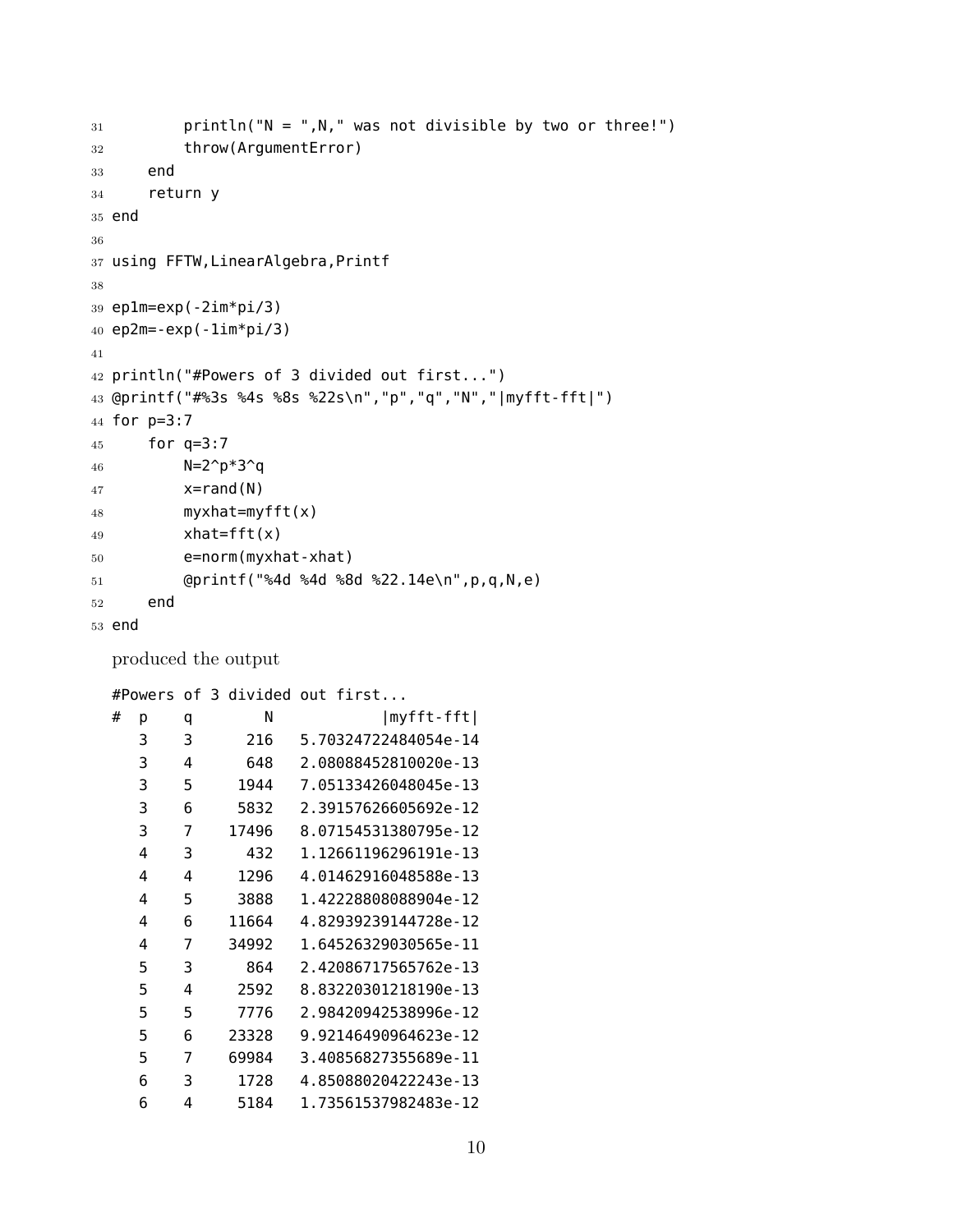```
31 println("N = ",N," was not divisible by two or three!")
32 throw(ArgumentError)
33 end
34 return y
35 end
36
37 using FFTW,LinearAlgebra,Printf
38
39 ep1m=exp(-2im*pi/3)
40 ep2m=-exp(-1im*pi/3)
41
42 println("#Powers of 3 divided out first...")
43 @printf("#%3s %4s %8s %22s\n","p","q","N","|myfft-fft|")
44 for p=3:7
45 for q=3:7
46 N=2^p*3^q
47 x=rand(N)48 myxhat=myfft(x)
49 xhat=fft(x)
50 e=norm(myxhat-xhat)
51 @printf("%4d %4d %8d %22.14e\n",p,q,N,e)
52 end
53 end
```
produced the output

#Powers of 3 divided out first...

| # | р | q | N     | myfft-fft            |
|---|---|---|-------|----------------------|
|   | 3 | 3 | 216   | 5.70324722484054e-14 |
|   | 3 | 4 | 648   | 2.08088452810020e-13 |
|   | 3 | 5 | 1944  | 7.05133426048045e-13 |
|   | 3 | 6 | 5832  | 2.39157626605692e-12 |
|   | 3 | 7 | 17496 | 8.07154531380795e-12 |
|   | 4 | 3 | 432   | 1.12661196296191e-13 |
|   | 4 | 4 | 1296  | 4.01462916048588e-13 |
|   | 4 | 5 | 3888  | 1.42228808088904e-12 |
|   | 4 | 6 | 11664 | 4.82939239144728e-12 |
|   | 4 | 7 | 34992 | 1.64526329030565e-11 |
|   | 5 | 3 | 864   | 2.42086717565762e-13 |
|   | 5 | 4 | 2592  | 8.83220301218190e-13 |
|   | 5 | 5 | 7776  | 2.98420942538996e-12 |
|   | 5 | 6 | 23328 | 9.92146490964623e-12 |
|   | 5 | 7 | 69984 | 3.40856827355689e-11 |
|   | 6 | 3 | 1728  | 4.85088020422243e-13 |
|   | 6 | 4 | 5184  | 1.73561537982483e-12 |